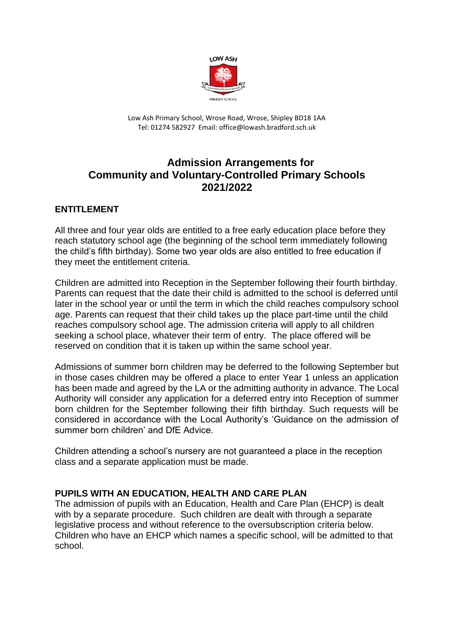

Low Ash Primary School, Wrose Road, Wrose, Shipley BD18 1AA Tel: 01274 582927 Email: office@lowash.bradford.sch.uk

# **Admission Arrangements for Community and Voluntary-Controlled Primary Schools 2021/2022**

## **ENTITLEMENT**

All three and four year olds are entitled to a free early education place before they reach statutory school age (the beginning of the school term immediately following the child's fifth birthday). Some two year olds are also entitled to free education if they meet the entitlement criteria.

Children are admitted into Reception in the September following their fourth birthday. Parents can request that the date their child is admitted to the school is deferred until later in the school year or until the term in which the child reaches compulsory school age. Parents can request that their child takes up the place part-time until the child reaches compulsory school age. The admission criteria will apply to all children seeking a school place, whatever their term of entry. The place offered will be reserved on condition that it is taken up within the same school year.

Admissions of summer born children may be deferred to the following September but in those cases children may be offered a place to enter Year 1 unless an application has been made and agreed by the LA or the admitting authority in advance. The Local Authority will consider any application for a deferred entry into Reception of summer born children for the September following their fifth birthday. Such requests will be considered in accordance with the Local Authority's 'Guidance on the admission of summer born children' and DfE Advice.

Children attending a school's nursery are not guaranteed a place in the reception class and a separate application must be made.

### **PUPILS WITH AN EDUCATION, HEALTH AND CARE PLAN**

The admission of pupils with an Education, Health and Care Plan (EHCP) is dealt with by a separate procedure. Such children are dealt with through a separate legislative process and without reference to the oversubscription criteria below. Children who have an EHCP which names a specific school, will be admitted to that school.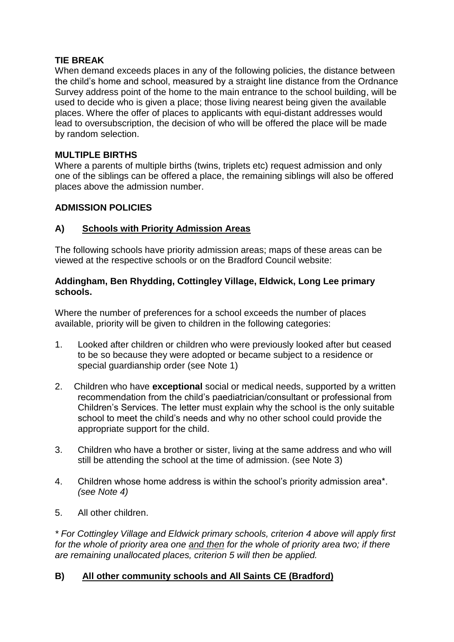## **TIE BREAK**

When demand exceeds places in any of the following policies, the distance between the child's home and school, measured by a straight line distance from the Ordnance Survey address point of the home to the main entrance to the school building, will be used to decide who is given a place; those living nearest being given the available places. Where the offer of places to applicants with equi-distant addresses would lead to oversubscription, the decision of who will be offered the place will be made by random selection.

## **MULTIPLE BIRTHS**

Where a parents of multiple births (twins, triplets etc) request admission and only one of the siblings can be offered a place, the remaining siblings will also be offered places above the admission number.

### **ADMISSION POLICIES**

## **A) Schools with Priority Admission Areas**

The following schools have priority admission areas; maps of these areas can be viewed at the respective schools or on the Bradford Council website:

### **Addingham, Ben Rhydding, Cottingley Village, Eldwick, Long Lee primary schools.**

Where the number of preferences for a school exceeds the number of places available, priority will be given to children in the following categories:

- 1. Looked after children or children who were previously looked after but ceased to be so because they were adopted or became subject to a residence or special guardianship order (see Note 1)
- 2. Children who have **exceptional** social or medical needs, supported by a written recommendation from the child's paediatrician/consultant or professional from Children's Services. The letter must explain why the school is the only suitable school to meet the child's needs and why no other school could provide the appropriate support for the child.
- 3. Children who have a brother or sister, living at the same address and who will still be attending the school at the time of admission. (see Note 3)
- 4. Children whose home address is within the school's priority admission area\*. *(see Note 4)*
- 5. All other children.

*\* For Cottingley Village and Eldwick primary schools, criterion 4 above will apply first for the whole of priority area one and then for the whole of priority area two; if there are remaining unallocated places, criterion 5 will then be applied.*

# **B) All other community schools and All Saints CE (Bradford)**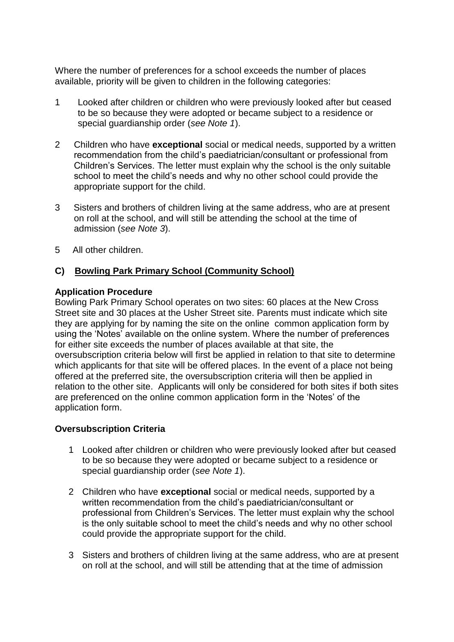Where the number of preferences for a school exceeds the number of places available, priority will be given to children in the following categories:

- 1 Looked after children or children who were previously looked after but ceased to be so because they were adopted or became subject to a residence or special guardianship order (*see Note 1*).
- 2 Children who have **exceptional** social or medical needs, supported by a written recommendation from the child's paediatrician/consultant or professional from Children's Services. The letter must explain why the school is the only suitable school to meet the child's needs and why no other school could provide the appropriate support for the child.
- 3 Sisters and brothers of children living at the same address, who are at present on roll at the school, and will still be attending the school at the time of admission (*see Note 3*).
- 5 All other children.

# **C) Bowling Park Primary School (Community School)**

### **Application Procedure**

Bowling Park Primary School operates on two sites: 60 places at the New Cross Street site and 30 places at the Usher Street site. Parents must indicate which site they are applying for by naming the site on the online common application form by using the 'Notes' available on the online system. Where the number of preferences for either site exceeds the number of places available at that site, the oversubscription criteria below will first be applied in relation to that site to determine which applicants for that site will be offered places. In the event of a place not being offered at the preferred site, the oversubscription criteria will then be applied in relation to the other site. Applicants will only be considered for both sites if both sites are preferenced on the online common application form in the 'Notes' of the application form.

### **Oversubscription Criteria**

- 1 Looked after children or children who were previously looked after but ceased to be so because they were adopted or became subject to a residence or special guardianship order (*see Note 1*).
- 2 Children who have **exceptional** social or medical needs, supported by a written recommendation from the child's paediatrician/consultant or professional from Children's Services. The letter must explain why the school is the only suitable school to meet the child's needs and why no other school could provide the appropriate support for the child.
- 3 Sisters and brothers of children living at the same address, who are at present on roll at the school, and will still be attending that at the time of admission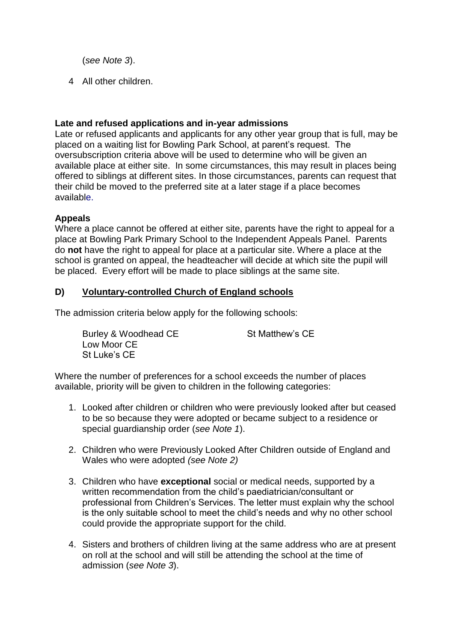(*see Note 3*).

4 All other children.

## **Late and refused applications and in-year admissions**

Late or refused applicants and applicants for any other year group that is full, may be placed on a waiting list for Bowling Park School, at parent's request. The oversubscription criteria above will be used to determine who will be given an available place at either site. In some circumstances, this may result in places being offered to siblings at different sites. In those circumstances, parents can request that their child be moved to the preferred site at a later stage if a place becomes available.

## **Appeals**

Where a place cannot be offered at either site, parents have the right to appeal for a place at Bowling Park Primary School to the Independent Appeals Panel. Parents do **not** have the right to appeal for place at a particular site. Where a place at the school is granted on appeal, the headteacher will decide at which site the pupil will be placed. Every effort will be made to place siblings at the same site.

## **D) Voluntary-controlled Church of England schools**

The admission criteria below apply for the following schools:

Burley & Woodhead CE St Matthew's CE Low Moor CE St Luke's CE

Where the number of preferences for a school exceeds the number of places available, priority will be given to children in the following categories:

- 1. Looked after children or children who were previously looked after but ceased to be so because they were adopted or became subject to a residence or special guardianship order (*see Note 1*).
- 2. Children who were Previously Looked After Children outside of England and Wales who were adopted *(see Note 2)*
- 3. Children who have **exceptional** social or medical needs, supported by a written recommendation from the child's paediatrician/consultant or professional from Children's Services. The letter must explain why the school is the only suitable school to meet the child's needs and why no other school could provide the appropriate support for the child.
- 4. Sisters and brothers of children living at the same address who are at present on roll at the school and will still be attending the school at the time of admission (*see Note 3*).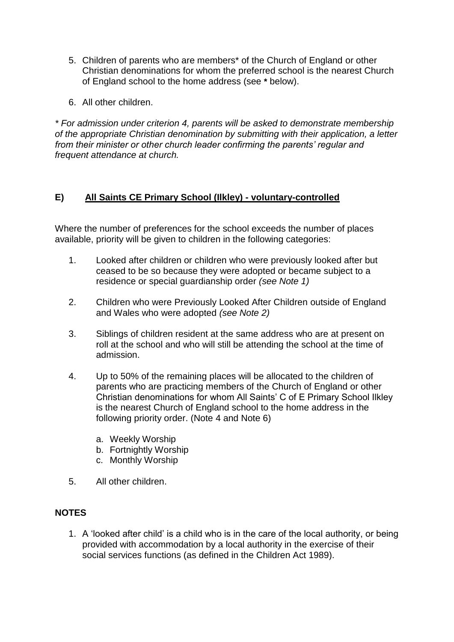- 5. Children of parents who are members\* of the Church of England or other Christian denominations for whom the preferred school is the nearest Church of England school to the home address (see **\*** below).
- 6. All other children.

*\* For admission under criterion 4, parents will be asked to demonstrate membership of the appropriate Christian denomination by submitting with their application, a letter from their minister or other church leader confirming the parents' regular and frequent attendance at church.* 

# **E) All Saints CE Primary School (Ilkley) - voluntary-controlled**

Where the number of preferences for the school exceeds the number of places available, priority will be given to children in the following categories:

- 1. Looked after children or children who were previously looked after but ceased to be so because they were adopted or became subject to a residence or special guardianship order *(see Note 1)*
- 2. Children who were Previously Looked After Children outside of England and Wales who were adopted *(see Note 2)*
- 3. Siblings of children resident at the same address who are at present on roll at the school and who will still be attending the school at the time of admission.
- 4. Up to 50% of the remaining places will be allocated to the children of parents who are practicing members of the Church of England or other Christian denominations for whom All Saints' C of E Primary School Ilkley is the nearest Church of England school to the home address in the following priority order. (Note 4 and Note 6)
	- a. Weekly Worship
	- b. Fortnightly Worship
	- c. Monthly Worship
- 5. All other children.

# **NOTES**

1. A 'looked after child' is a child who is in the care of the local authority, or being provided with accommodation by a local authority in the exercise of their social services functions (as defined in the Children Act 1989).